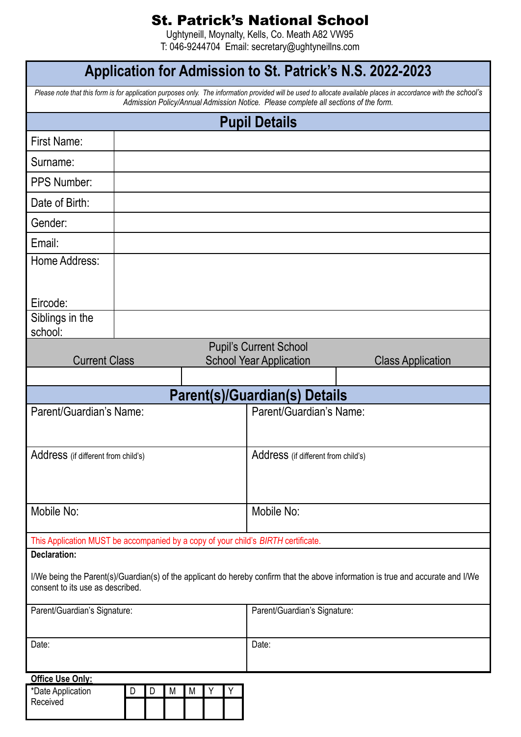## St. Patrick's National School

Ughtyneill, Moynalty, Kells, Co. Meath A82 VW95 T: 046-9244704 Email: secretary@ughtyneillns.com

| Application for Admission to St. Patrick's N.S. 2022-2023                                                                                                                                                                                              |             |   |   |                                                                 |                          |  |
|--------------------------------------------------------------------------------------------------------------------------------------------------------------------------------------------------------------------------------------------------------|-------------|---|---|-----------------------------------------------------------------|--------------------------|--|
| Please note that this form is for application purposes only. The information provided will be used to allocate available places in accordance with the school's<br>Admission Policy/Annual Admission Notice. Please complete all sections of the form. |             |   |   |                                                                 |                          |  |
| <b>Pupil Details</b>                                                                                                                                                                                                                                   |             |   |   |                                                                 |                          |  |
| First Name:                                                                                                                                                                                                                                            |             |   |   |                                                                 |                          |  |
| Surname:                                                                                                                                                                                                                                               |             |   |   |                                                                 |                          |  |
| <b>PPS Number:</b>                                                                                                                                                                                                                                     |             |   |   |                                                                 |                          |  |
| Date of Birth:                                                                                                                                                                                                                                         |             |   |   |                                                                 |                          |  |
| Gender:                                                                                                                                                                                                                                                |             |   |   |                                                                 |                          |  |
| Email:                                                                                                                                                                                                                                                 |             |   |   |                                                                 |                          |  |
| Home Address:                                                                                                                                                                                                                                          |             |   |   |                                                                 |                          |  |
| Eircode:                                                                                                                                                                                                                                               |             |   |   |                                                                 |                          |  |
| Siblings in the<br>school:                                                                                                                                                                                                                             |             |   |   |                                                                 |                          |  |
| <b>Current Class</b>                                                                                                                                                                                                                                   |             |   |   | <b>Pupil's Current School</b><br><b>School Year Application</b> | <b>Class Application</b> |  |
| Parent(s)/Guardian(s) Details                                                                                                                                                                                                                          |             |   |   |                                                                 |                          |  |
| Parent/Guardian's Name:                                                                                                                                                                                                                                |             |   |   | Parent/Guardian's Name:                                         |                          |  |
| Address (if different from child's)                                                                                                                                                                                                                    |             |   |   | Address (if different from child's)                             |                          |  |
| Mobile No:                                                                                                                                                                                                                                             |             |   |   | Mobile No:                                                      |                          |  |
| This Application MUST be accompanied by a copy of your child's BIRTH certificate.                                                                                                                                                                      |             |   |   |                                                                 |                          |  |
| <b>Declaration:</b>                                                                                                                                                                                                                                    |             |   |   |                                                                 |                          |  |
| I/We being the Parent(s)/Guardian(s) of the applicant do hereby confirm that the above information is true and accurate and I/We<br>consent to its use as described.                                                                                   |             |   |   |                                                                 |                          |  |
| Parent/Guardian's Signature:                                                                                                                                                                                                                           |             |   |   | Parent/Guardian's Signature:                                    |                          |  |
| Date:                                                                                                                                                                                                                                                  |             |   |   | Date:                                                           |                          |  |
| Office Use Only:                                                                                                                                                                                                                                       |             |   |   |                                                                 |                          |  |
| *Date Application<br>Received                                                                                                                                                                                                                          | D<br>D<br>M | M | Υ |                                                                 |                          |  |

ı